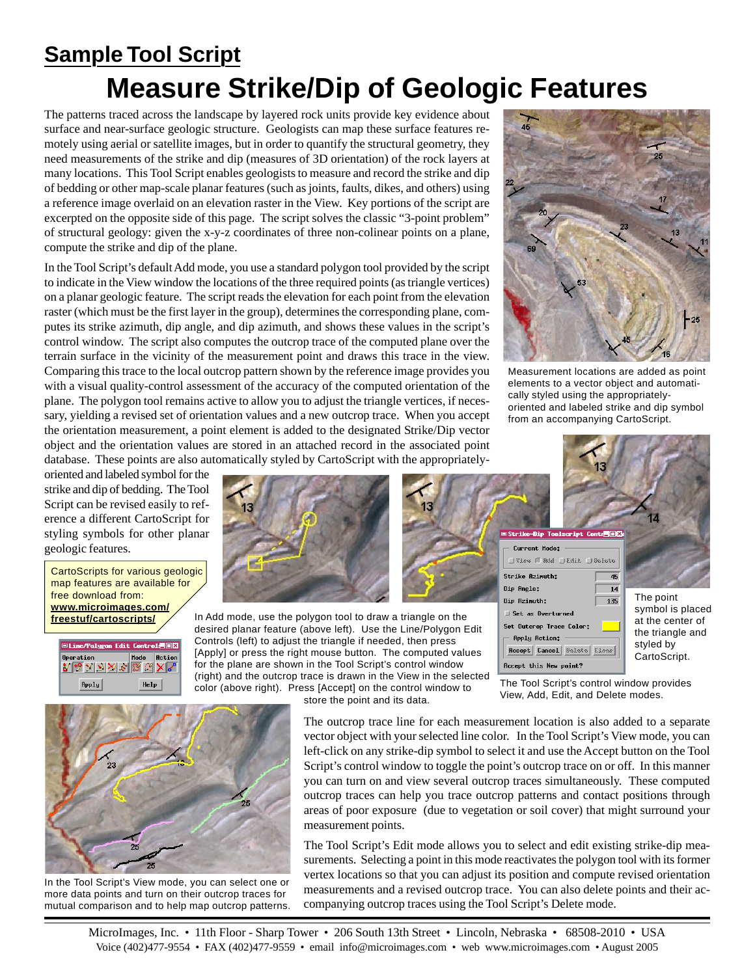## **Measure Strike/Dip of Geologic Features Sample Tool Script**

The patterns traced across the landscape by layered rock units provide key evidence about surface and near-surface geologic structure. Geologists can map these surface features remotely using aerial or satellite images, but in order to quantify the structural geometry, they need measurements of the strike and dip (measures of 3D orientation) of the rock layers at many locations. This Tool Script enables geologists to measure and record the strike and dip of bedding or other map-scale planar features (such as joints, faults, dikes, and others) using a reference image overlaid on an elevation raster in the View. Key portions of the script are excerpted on the opposite side of this page. The script solves the classic "3-point problem" of structural geology: given the x-y-z coordinates of three non-colinear points on a plane, compute the strike and dip of the plane.

In the Tool Script's default Add mode, you use a standard polygon tool provided by the script to indicate in the View window the locations of the three required points (as triangle vertices) on a planar geologic feature. The script reads the elevation for each point from the elevation raster (which must be the first layer in the group), determines the corresponding plane, computes its strike azimuth, dip angle, and dip azimuth, and shows these values in the script's control window. The script also computes the outcrop trace of the computed plane over the terrain surface in the vicinity of the measurement point and draws this trace in the view. Comparing this trace to the local outcrop pattern shown by the reference image provides you with a visual quality-control assessment of the accuracy of the computed orientation of the plane. The polygon tool remains active to allow you to adjust the triangle vertices, if necessary, yielding a revised set of orientation values and a new outcrop trace. When you accept the orientation measurement, a point element is added to the designated Strike/Dip vector object and the orientation values are stored in an attached record in the associated point database. These points are also automatically styled by CartoScript with the appropriately-



Measurement locations are added as point elements to a vector object and automatically styled using the appropriatelyoriented and labeled strike and dip symbol from an accompanying CartoScript.

oriented and labeled symbol for the strike and dip of bedding. The Tool Script can be revised easily to reference a different CartoScript for styling symbols for other planar geologic features.

CartoScripts for various geologic map features are available for free download from: **www.microimages.com/ freestuf/cartoscripts/**





In Add mode, use the polygon tool to draw a triangle on the desired planar feature (above left). Use the Line/Polygon Edit Controls (left) to adjust the triangle if needed, then press [Apply] or press the right mouse button. The computed values for the plane are shown in the Tool Script's control window (right) and the outcrop trace is drawn in the View in the selected color (above right). Press [Accept] on the control window to

store the point and its data.

Recept this New point? The Tool Script's control window provides View, Add, Edit, and Delete modes.

 $\overline{45}$ 

 $\overline{14}$ 

135

The point symbol is placed at the center of the triangle and styled by CartoScript.

The outcrop trace line for each measurement location is also added to a separate vector object with your selected line color. In the Tool Script's View mode, you can left-click on any strike-dip symbol to select it and use the Accept button on the Tool Script's control window to toggle the point's outcrop trace on or off. In this manner you can turn on and view several outcrop traces simultaneously. These computed outcrop traces can help you trace outcrop patterns and contact positions through areas of poor exposure (due to vegetation or soil cover) that might surround your measurement points.

Current Mode:

Set as Overturned Set Outcrop Trace Color: **Apply Action:** 

Strike fizinuth:

Dip Angle:

Dip Azimuth:

JView mRdd JEdit DDelete

Recept Cancel Belete Llose

The Tool Script's Edit mode allows you to select and edit existing strike-dip measurements. Selecting a point in this mode reactivates the polygon tool with its former vertex locations so that you can adjust its position and compute revised orientation measurements and a revised outcrop trace. You can also delete points and their accompanying outcrop traces using the Tool Script's Delete mode.



In the Tool Script's View mode, you can select one or more data points and turn on their outcrop traces for mutual comparison and to help map outcrop patterns.